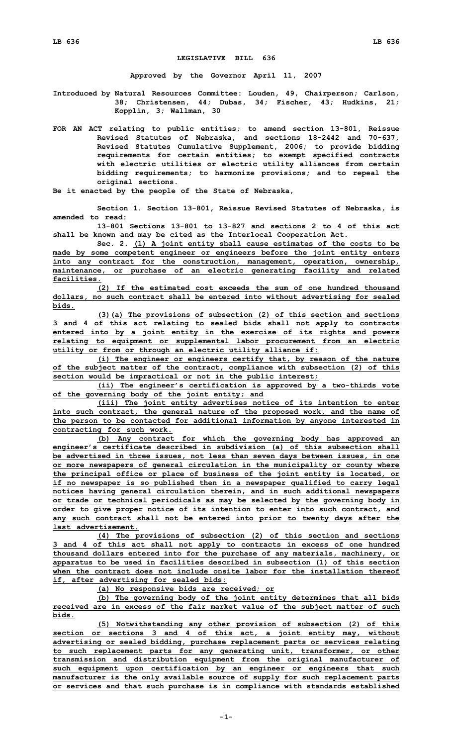## **LEGISLATIVE BILL 636**

**Approved by the Governor April 11, 2007**

**Introduced by Natural Resources Committee: Louden, 49, Chairperson; Carlson, 38; Christensen, 44; Dubas, 34; Fischer, 43; Hudkins, 21; Kopplin, 3; Wallman, 30**

**FOR AN ACT relating to public entities; to amend section 13-801, Reissue Revised Statutes of Nebraska, and sections 18-2442 and 70-637, Revised Statutes Cumulative Supplement, 2006; to provide bidding requirements for certain entities; to exempt specified contracts with electric utilities or electric utility alliances from certain bidding requirements; to harmonize provisions; and to repeal the original sections.**

**Be it enacted by the people of the State of Nebraska,**

**Section 1. Section 13-801, Reissue Revised Statutes of Nebraska, is amended to read:**

**13-801 Sections 13-801 to 13-827 and sections 2 to 4 of this act shall be known and may be cited as the Interlocal Cooperation Act.**

**Sec. 2. (1) <sup>A</sup> joint entity shall cause estimates of the costs to be made by some competent engineer or engineers before the joint entity enters into any contract for the construction, management, operation, ownership, maintenance, or purchase of an electric generating facility and related facilities.**

**(2) If the estimated cost exceeds the sum of one hundred thousand dollars, no such contract shall be entered into without advertising for sealed bids.**

**(3)(a) The provisions of subsection (2) of this section and sections 3 and 4 of this act relating to sealed bids shall not apply to contracts entered into by <sup>a</sup> joint entity in the exercise of its rights and powers relating to equipment or supplemental labor procurement from an electric utility or from or through an electric utility alliance if:**

**(i) The engineer or engineers certify that, by reason of the nature of the subject matter of the contract, compliance with subsection (2) of this section would be impractical or not in the public interest;**

**(ii) The engineer's certification is approved by <sup>a</sup> two-thirds vote of the governing body of the joint entity; and**

**(iii) The joint entity advertises notice of its intention to enter into such contract, the general nature of the proposed work, and the name of the person to be contacted for additional information by anyone interested in contracting for such work.**

**(b) Any contract for which the governing body has approved an engineer's certificate described in subdivision (a) of this subsection shall be advertised in three issues, not less than seven days between issues, in one or more newspapers of general circulation in the municipality or county where the principal office or place of business of the joint entity is located, or if no newspaper is so published then in <sup>a</sup> newspaper qualified to carry legal notices having general circulation therein, and in such additional newspapers or trade or technical periodicals as may be selected by the governing body in order to give proper notice of its intention to enter into such contract, and any such contract shall not be entered into prior to twenty days after the last advertisement.**

**(4) The provisions of subsection (2) of this section and sections 3 and 4 of this act shall not apply to contracts in excess of one hundred thousand dollars entered into for the purchase of any materials, machinery, or apparatus to be used in facilities described in subsection (1) of this section when the contract does not include onsite labor for the installation thereof if, after advertising for sealed bids:**

**(a) No responsive bids are received; or**

**(b) The governing body of the joint entity determines that all bids received are in excess of the fair market value of the subject matter of such bids.**

**(5) Notwithstanding any other provision of subsection (2) of this section or sections 3 and 4 of this act, <sup>a</sup> joint entity may, without advertising or sealed bidding, purchase replacement parts or services relating to such replacement parts for any generating unit, transformer, or other transmission and distribution equipment from the original manufacturer of such equipment upon certification by an engineer or engineers that such manufacturer is the only available source of supply for such replacement parts or services and that such purchase is in compliance with standards established**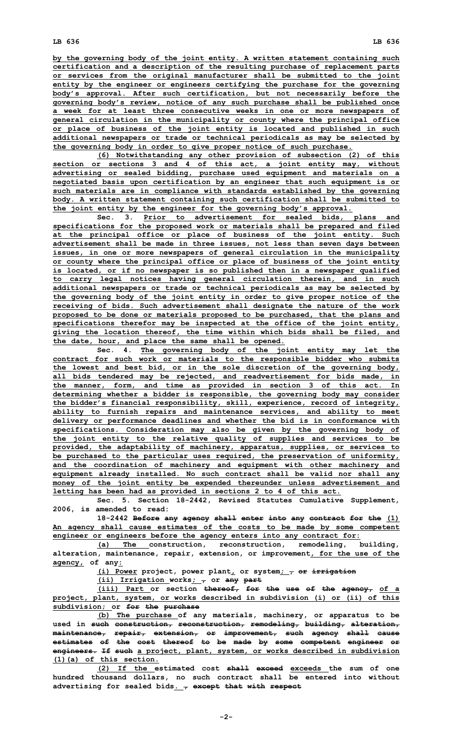**by the governing body of the joint entity. A written statement containing such certification and <sup>a</sup> description of the resulting purchase of replacement parts or services from the original manufacturer shall be submitted to the joint entity by the engineer or engineers certifying the purchase for the governing body's approval. After such certification, but not necessarily before the governing body's review, notice of any such purchase shall be published once <sup>a</sup> week for at least three consecutive weeks in one or more newspapers of general circulation in the municipality or county where the principal office or place of business of the joint entity is located and published in such additional newspapers or trade or technical periodicals as may be selected by the governing body in order to give proper notice of such purchase.**

**(6) Notwithstanding any other provision of subsection (2) of this section or sections 3 and 4 of this act, <sup>a</sup> joint entity may, without advertising or sealed bidding, purchase used equipment and materials on <sup>a</sup> negotiated basis upon certification by an engineer that such equipment is or such materials are in compliance with standards established by the governing body. A written statement containing such certification shall be submitted to the joint entity by the engineer for the governing body's approval.**

**Sec. 3. Prior to advertisement for sealed bids, plans and specifications for the proposed work or materials shall be prepared and filed at the principal office or place of business of the joint entity. Such advertisement shall be made in three issues, not less than seven days between issues, in one or more newspapers of general circulation in the municipality or county where the principal office or place of business of the joint entity is located, or if no newspaper is so published then in <sup>a</sup> newspaper qualified to carry legal notices having general circulation therein, and in such additional newspapers or trade or technical periodicals as may be selected by the governing body of the joint entity in order to give proper notice of the receiving of bids. Such advertisement shall designate the nature of the work proposed to be done or materials proposed to be purchased, that the plans and specifications therefor may be inspected at the office of the joint entity, giving the location thereof, the time within which bids shall be filed, and the date, hour, and place the same shall be opened.**

**Sec. 4. The governing body of the joint entity may let the contract for such work or materials to the responsible bidder who submits the lowest and best bid, or in the sole discretion of the governing body, all bids tendered may be rejected, and readvertisement for bids made, in the manner, form, and time as provided in section 3 of this act. In determining whether <sup>a</sup> bidder is responsible, the governing body may consider the bidder's financial responsibility, skill, experience, record of integrity, ability to furnish repairs and maintenance services, and ability to meet delivery or performance deadlines and whether the bid is in conformance with specifications. Consideration may also be given by the governing body of the joint entity to the relative quality of supplies and services to be provided, the adaptability of machinery, apparatus, supplies, or services to be purchased to the particular uses required, the preservation of uniformity, and the coordination of machinery and equipment with other machinery and equipment already installed. No such contract shall be valid nor shall any money of the joint entity be expended thereunder unless advertisement and letting has been had as provided in sections 2 to 4 of this act.**

**Sec. 5. Section 18-2442, Revised Statutes Cumulative Supplement, 2006, is amended to read:**

**18-2442 Before any agency shall enter into any contract for the (1) An agency shall cause estimates of the costs to be made by some competent engineer or engineers before the agency enters into any contract for:**

**(a) The construction, reconstruction, remodeling, building, alteration, maintenance, repair, extension, or improvement, for the use of the agency, of any:**

**(i) Power project, power plant, or system; , or irrigation**

**(ii) Irrigation works; , or any part**

**(iii) Part or section thereof, for the use of the agency, of <sup>a</sup> project, plant, system, or works described in subdivision (i) or (ii) of this subdivision; or for the purchase**

**(b) The purchase of any materials, machinery, or apparatus to be used in such construction, reconstruction, remodeling, building, alteration, maintenance, repair, extension, or improvement, such agency shall cause estimates of the cost thereof to be made by some competent engineer or engineers. If such <sup>a</sup> project, plant, system, or works described in subdivision (1)(a) of this section.**

**(2) If the estimated cost shall exceed exceeds the sum of one hundred thousand dollars, no such contract shall be entered into without advertising for sealed bids. , except that with respect**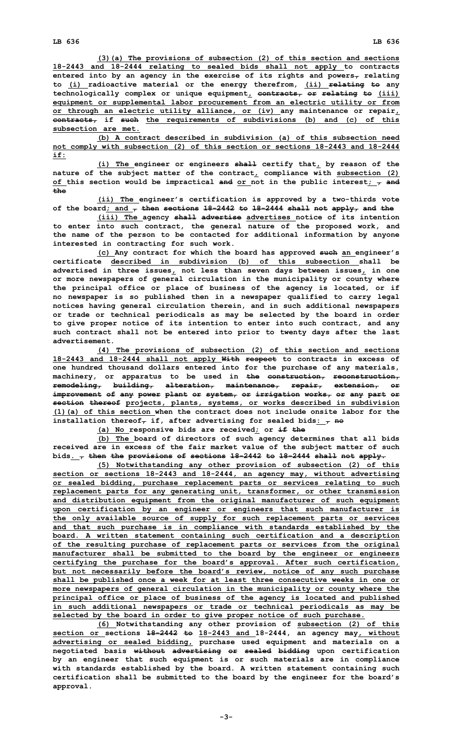**(3)(a) The provisions of subsection (2) of this section and sections 18-2443 and 18-2444 relating to sealed bids shall not apply to contracts entered into by an agency in the exercise of its rights and powers, relating to (i) radioactive material or the energy therefrom, (ii) relating to any technologically complex or unique equipment, contracts, or relating to (iii) equipment or supplemental labor procurement from an electric utility or from or through an electric utility alliance, or (iv) any maintenance or repair, contracts, if such the requirements of subdivisions (b) and (c) of this subsection are met.**

**(b) A contract described in subdivision (a) of this subsection need not comply with subsection (2) of this section or sections 18-2443 and 18-2444 if:**

**(i) The engineer or engineers shall certify that, by reason of the nature of the subject matter of the contract, compliance with subsection (2) of this section would be impractical and or not in the public interest; , and the**

**(ii) The engineer's certification is approved by <sup>a</sup> two-thirds vote of the board; and , then sections 18-2442 to 18-2444 shall not apply, and the**

**(iii) The agency shall advertise advertises notice of its intention to enter into such contract, the general nature of the proposed work, and the name of the person to be contacted for additional information by anyone interested in contracting for such work.**

**(c) Any contract for which the board has approved such an engineer's certificate described in subdivision (b) of this subsection shall be advertised in three issues, not less than seven days between issues, in one or more newspapers of general circulation in the municipality or county where the principal office or place of business of the agency is located, or if no newspaper is so published then in <sup>a</sup> newspaper qualified to carry legal notices having general circulation therein, and in such additional newspapers or trade or technical periodicals as may be selected by the board in order to give proper notice of its intention to enter into such contract, and any such contract shall not be entered into prior to twenty days after the last advertisement.**

**(4) The provisions of subsection (2) of this section and sections 18-2443 and 18-2444 shall not apply With respect to contracts in excess of one hundred thousand dollars entered into for the purchase of any materials, machinery, or apparatus to be used in the construction, reconstruction, remodeling, building, alteration, maintenance, repair, extension, or improvement of any power plant or system, or irrigation works, or any part or section thereof projects, plants, systems, or works described in subdivision (1)(a) of this section when the contract does not include onsite labor for the** installation thereof<sub> $\tau$ </sub> if, after advertising for sealed bids<sub>:  $\tau$ </sub> no

**(a) No responsive bids are received; or if the**

**(b) The board of directors of such agency determines that all bids received are in excess of the fair market value of the subject matter of such bids. , then the provisions of sections 18-2442 to 18-2444 shall not apply.**

**(5) Notwithstanding any other provision of subsection (2) of this section or sections 18-2443 and 18-2444, an agency may, without advertising or sealed bidding, purchase replacement parts or services relating to such replacement parts for any generating unit, transformer, or other transmission and distribution equipment from the original manufacturer of such equipment upon certification by an engineer or engineers that such manufacturer is the only available source of supply for such replacement parts or services and that such purchase is in compliance with standards established by the board. A written statement containing such certification and <sup>a</sup> description of the resulting purchase of replacement parts or services from the original manufacturer shall be submitted to the board by the engineer or engineers certifying the purchase for the board's approval. After such certification, but not necessarily before the board's review, notice of any such purchase shall be published once <sup>a</sup> week for at least three consecutive weeks in one or more newspapers of general circulation in the municipality or county where the principal office or place of business of the agency is located and published in such additional newspapers or trade or technical periodicals as may be selected by the board in order to give proper notice of such purchase.**

**(6) Notwithstanding any other provision of subsection (2) of this section or sections 18-2442 to 18-2443 and 18-2444, an agency may, without advertising or sealed bidding, purchase used equipment and materials on <sup>a</sup> negotiated basis without advertising or sealed bidding upon certification by an engineer that such equipment is or such materials are in compliance with standards established by the board. A written statement containing such certification shall be submitted to the board by the engineer for the board's approval.**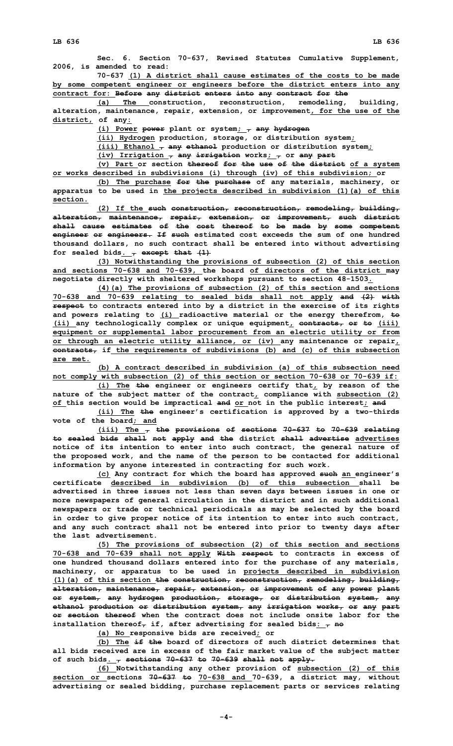**Sec. 6. Section 70-637, Revised Statutes Cumulative Supplement, 2006, is amended to read:**

**70-637 (1) A district shall cause estimates of the costs to be made by some competent engineer or engineers before the district enters into any contract for: Before any district enters into any contract for the**

**(a) The construction, reconstruction, remodeling, building, alteration, maintenance, repair, extension, or improvement, for the use of the district, of any:**

**(i) Power power plant or system; , any hydrogen**

**(ii) Hydrogen production, storage, or distribution system;**

**(iii) Ethanol , any ethanol production or distribution system;**

 $(iv)$  **Irrigation**  $\tau$  any irrigation works<sub>*:*  $\tau$ </sub> or any part

**(v) Part or section thereof for the use of the district of <sup>a</sup> system or works described in subdivisions (i) through (iv) of this subdivision; or**

**(b) The purchase for the purchase of any materials, machinery, or apparatus to be used in the projects described in subdivision (1)(a) of this section.**

**(2) If the such construction, reconstruction, remodeling, building, alteration, maintenance, repair, extension, or improvement, such district shall cause estimates of the cost thereof to be made by some competent engineer or engineers. If such estimated cost exceeds the sum of one hundred thousand dollars, no such contract shall be entered into without advertising** for sealed bids.  $\frac{1}{7}$  except that  $(1)$ 

**(3) Notwithstanding the provisions of subsection (2) of this section and sections 70-638 and 70-639, the board of directors of the district may negotiate directly with sheltered workshops pursuant to section 48-1503.**

**(4)(a) The provisions of subsection (2) of this section and sections 70-638 and 70-639 relating to sealed bids shall not apply and (2) with respect to contracts entered into by <sup>a</sup> district in the exercise of its rights and powers relating to (i) radioactive material or the energy therefrom, to (ii) any technologically complex or unique equipment, contracts, or to (iii) equipment or supplemental labor procurement from an electric utility or from or through an electric utility alliance, or (iv) any maintenance or repair, contracts, if the requirements of subdivisions (b) and (c) of this subsection are met.**

**(b) A contract described in subdivision (a) of this subsection need not comply with subsection (2) of this section or section 70-638 or 70-639 if:**

**(i) The the engineer or engineers certify that, by reason of the nature of the subject matter of the contract, compliance with subsection (2) of this section would be impractical and or not in the public interest; and**

**(ii) The the engineer's certification is approved by <sup>a</sup> two-thirds vote of the board; and**

**(iii) The , the provisions of sections 70-637 to 70-639 relating to sealed bids shall not apply and the district shall advertise advertises notice of its intention to enter into such contract, the general nature of the proposed work, and the name of the person to be contacted for additional information by anyone interested in contracting for such work.**

**(c) Any contract for which the board has approved such an engineer's certificate described in subdivision (b) of this subsection shall be advertised in three issues not less than seven days between issues in one or more newspapers of general circulation in the district and in such additional newspapers or trade or technical periodicals as may be selected by the board in order to give proper notice of its intention to enter into such contract, and any such contract shall not be entered into prior to twenty days after the last advertisement.**

**(5) The provisions of subsection (2) of this section and sections 70-638 and 70-639 shall not apply With respect to contracts in excess of one hundred thousand dollars entered into for the purchase of any materials, machinery, or apparatus to be used in projects described in subdivision (1)(a) of this section the construction, reconstruction, remodeling, building, alteration, maintenance, repair, extension, or improvement of any power plant or system, any hydrogen production, storage, or distribution system, any ethanol production or distribution system, any irrigation works, or any part or section thereof when the contract does not include onsite labor for the** installation thereof<sub> $\tau$ </sub> if, after advertising for sealed bids<sub>:  $\tau$ </sub> no

**(a) No responsive bids are received; or**

**(b) The if the board of directors of such district determines that all bids received are in excess of the fair market value of the subject matter of such bids. , sections 70-637 to 70-639 shall not apply.**

**(6) Notwithstanding any other provision of subsection (2) of this section or sections 70-637 to 70-638 and 70-639, <sup>a</sup> district may, without advertising or sealed bidding, purchase replacement parts or services relating**